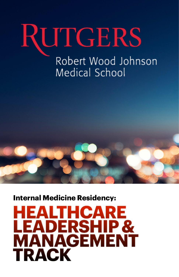# **RUTGERS**

### Robert Wood Johnson Medical School



**Internal Medicine Residency:**

### **HEALTHCARE LEADERSHIP & MANAGEMENT TRACK**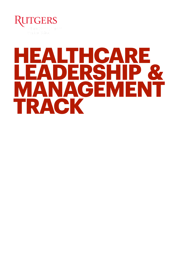

# **EALTHCARE<br>EADERSHIP & EADERSH NAGEMENT TRACK**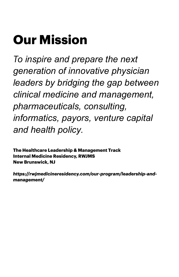### **Our Mission**

To inspire and prepare the next generation of innovative physician leaders by bridging the gap between clinical medicine and management, pharmaceuticals, consulting, informatics, payors, venture capital and health policy.

The Healthcare Leadership & Management Track **Internal Medicine Residency, RWJMS New Brunswick, NJ** 

https://rwjmedicineresidency.com/our-program/leadership-andmanagement/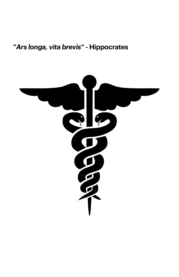### **"***Ars longa, vita brevis***" - Hippocrates**

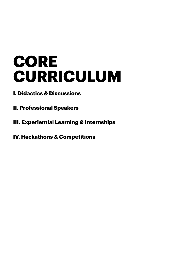# **CORE CURRICULUM**

- **I. Didactics & Discussions**
- **II. Professional Speakers**
- **III. Experiential Learning & Internships**
- **IV. Hackathons & Competitions**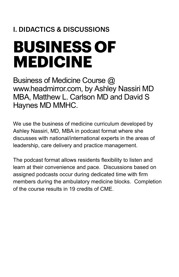### **I. DIDACTICS & DISCUSSIONS**

# **BUSINESS OF MEDICINE**

Business of Medicine Course @ www.headmirror.com, by Ashley Nassiri MD MBA, Matthew L. Carlson MD and David S Haynes MD MMHC.

We use the business of medicine curriculum developed by Ashley Nassiri, MD, MBA in podcast format where she discusses with national/international experts in the areas of leadership, care delivery and practice management.

The podcast format allows residents flexibility to listen and learn at their convenience and pace. Discussions based on assigned podcasts occur during dedicated time with firm members during the ambulatory medicine blocks. Completion of the course results in 19 credits of CME.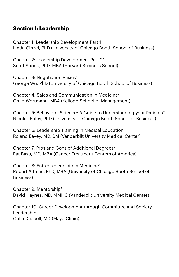#### **Section I: Leadership**

Chapter 1: [Leadership Development Part 1\\*](https://www.headmirror.com/podcast/leadership-development-part-1) [Linda Ginzel, PhD \(University of Chicago Booth School of Business\)](https://www.headmirror.com/podcast/leadership-development-part-1)

[Chapter 2: Leadership Development Part 2\\*](https://www.headmirror.com/podcast/leadership-development-part-2) [Scott Snook, PhD, MBA \(Harvard Business School\)](https://www.headmirror.com/podcast/leadership-development-part-2)

[Chapter 3: Negotiation Basics\\*](https://www.headmirror.com/podcast/negotiation-basics) [George Wu, PhD \(University of Chicago Booth School of Business\)](https://www.headmirror.com/podcast/negotiation-basics)

[Chapter 4: Sales and Communication in Medicine\\*](https://www.headmirror.com/podcast/sales-and-communication-in-medicine) [Craig Wortmann, MBA \(Kellogg School of Management\)](https://www.headmirror.com/podcast/sales-and-communication-in-medicine)

[Chapter 5: Behavioral Science: A Guide to Understanding your Patients\\*](https://www.headmirror.com/podcast/behavioral-science-a-guide-to-understanding-your-patients) [Nicolas Epley, PhD \(University of Chicago Booth School of Business\)](https://www.headmirror.com/podcast/behavioral-science-a-guide-to-understanding-your-patients)

[Chapter 6: Leadership Training in Medical Education](https://www.headmirror.com/podcast/leadership-training-in-medical-education) [Roland Eavey, MD, SM \(Vanderbilt University Medical Center\)](https://www.headmirror.com/podcast/leadership-training-in-medical-education)

Chapter 7: [Pros and Cons of Additional Degrees\\*](https://www.headmirror.com/podcast/pros-and-cons-of-additional-degrees) [Pat Basu, MD, MBA \(Cancer Treatment Centers of America\)](https://www.headmirror.com/podcast/pros-and-cons-of-additional-degrees)

[Chapter 8: Entrepreneurship in Medicine\\*](https://www.headmirror.com/podcast/entrepreneurship-in-medicine) [Robert Altman, PhD, MBA \(University of Chicago Booth School of](https://www.headmirror.com/podcast/entrepreneurship-in-medicine)  [Business\)](https://www.headmirror.com/podcast/entrepreneurship-in-medicine)

Chapter 9: [Mentorship\\*](https://www.headmirror.com/podcast/2020/3/14/mentorship) [David Haynes, MD, MMHC \(Vanderbilt University Medical Center\)](https://www.headmirror.com/podcast/2020/3/14/mentorship)

[Chapter 10: Career Development through Committee and Society](https://www.headmirror.com/podcast/career-development-through-committee-and-society-leadership)  [Leadership](https://www.headmirror.com/podcast/career-development-through-committee-and-society-leadership) [Colin Driscoll, MD \(Mayo Clinic\)](https://www.headmirror.com/podcast/career-development-through-committee-and-society-leadership)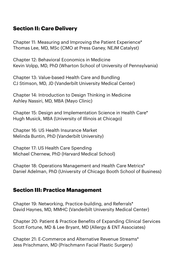#### **Section II: Care Delivery**

[Chapter 11: Measuring and Improving the Patient Experience\\*](https://www.headmirror.com/podcast/measuring-and-improving-the-patient-experience) [Thomas Lee, MD, MSc \(CMO at Press Ganey, NEJM Catalyst\)](https://www.headmirror.com/podcast/measuring-and-improving-the-patient-experience)

[Chapter 12: Behavioral Economics in Medicine](https://www.headmirror.com/podcast/behavioral-economics-in-medicine) [Kevin Volpp, MD, PhD \(Wharton School of University of Pennsylvania\)](https://www.headmirror.com/podcast/behavioral-economics-in-medicine)

[Chapter 13: Value-based Health Care and Bundling](https://www.headmirror.com/podcast/value-based-health-care-and-bundling) [CJ Stimson, MD, JD \(Vanderbilt University Medical Center\)](https://www.headmirror.com/podcast/value-based-health-care-and-bundling)

[Chapter 14: Introduction to Design Thinking in Medicine](https://www.headmirror.com/podcast/2020/3/14/design-thinking) [Ashley Nassiri, MD, MBA \(Mayo Clinic\)](https://www.headmirror.com/podcast/2020/3/14/design-thinking)

[Chapter 15: Design and Implementation Science in Health Care\\*](https://www.headmirror.com/podcast/design-and-implementation-science-in-healthcare) [Hugh Musick, MBA \(University of Illinois at Chicago\)](https://www.headmirror.com/podcast/design-and-implementation-science-in-healthcare)

[Chapter 16: US Health Insurance Market](https://www.headmirror.com/podcast/us-health-insurance-market) [Melinda Buntin, PhD \(Vanderbilt University\)](https://www.headmirror.com/podcast/us-health-insurance-market)

[Chapter 17: US Health Care Spending](https://www.headmirror.com/podcast/us-healthcare-spending) [Michael Chernew, PhD \(Harvard Medical School\)](https://www.headmirror.com/podcast/us-healthcare-spending)

[Chapter 18: Operations Management and Health Care Metrics\\*](https://www.headmirror.com/podcast/operations-management-and-healthcare-metrics) [Daniel Adelman, PhD \(University of Chicago Booth School of Business\)](https://www.headmirror.com/podcast/operations-management-and-healthcare-metrics)

#### **Section III: Practice Management**

Chapter 19: [Networking, Practice-building, and Referrals\\*](https://www.headmirror.com/podcast/networking-practice-building-and-referrals) [David Haynes, MD, MMHC \(Vanderbilt University Medical Center\)](https://www.headmirror.com/podcast/networking-practice-building-and-referrals)

Chapter 20: Patient & Practice Benef[its of Expanding Clinical Services](https://www.headmirror.com/podcast/patient-practice-benefits-of-expanding-clinical-services) [Scott Fortune, MD & Lee Bryant, MD \(Allergy & ENT Associates\)](https://www.headmirror.com/podcast/patient-practice-benefits-of-expanding-clinical-services)

[Chapter 21: E-Commerce and Alternative Revenue Streams\\*](https://www.headmirror.com/podcast/2020/3/14/e-commerce-in-otolaryngology) [Jess Prischmann, MD \(Prischmann Facial Plastic Surgery\)](https://www.headmirror.com/podcast/2020/3/14/e-commerce-in-otolaryngology)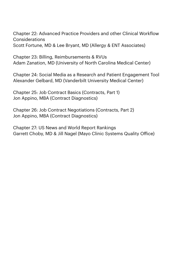Chapter 22: [Advanced Practice Providers and other Clinical Work](https://www.headmirror.com/podcast/advanced-practice-providers-and-other-clinical-workflow-considerations)flow [Considerations](https://www.headmirror.com/podcast/advanced-practice-providers-and-other-clinical-workflow-considerations)

[Scott Fortune, MD & Lee Bryant, MD \(Allergy & ENT Associates\)](https://www.headmirror.com/podcast/advanced-practice-providers-and-other-clinical-workflow-considerations)

[Chapter 23: Billing, Reimbursements & RVUs](https://www.headmirror.com/podcast/billing-reimbursement-and-rvus) [Adam Zanation, MD \(University of North Carolina Medical Center\)](https://www.headmirror.com/podcast/billing-reimbursement-and-rvus)

[Chapter 24: Social Media as a Research and Patient Engagement Tool](https://www.headmirror.com/podcast/social-media-as-a-research-and-patient-engagement-tool) [Alexander Gelbard, MD \(Vanderbilt University Medical Center\)](https://www.headmirror.com/podcast/social-media-as-a-research-and-patient-engagement-tool)

[Chapter 25: Job Contract Basics \(Contracts, Part 1\)](https://www.headmirror.com/podcast/2020/3/14/job-contracts-101) [Jon Appino, MBA \(Contract Diagnostics\)](https://www.headmirror.com/podcast/2020/3/14/job-contracts-101)

[Chapter 26: Job Contract Negotiations \(Contracts, Part 2\)](https://www.headmirror.com/podcast/2020/3/14/job-contract-negotiation) [Jon Appino, MBA \(Contract Diagnostics\)](https://www.headmirror.com/podcast/2020/3/14/job-contract-negotiation)

[Chapter 27: US News and World Report Rankings](https://www.headmirror.com/podcast/us-news-world-report-hospital-rankings) [Garrett Choby, MD & Jill Nagel \(Mayo Clinic Systems Quality O](https://www.headmirror.com/podcast/us-news-world-report-hospital-rankings)ffice)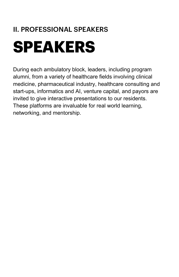### **II. PROFESSIONAL SPEAKERS**

# **SPEAKERS**

During each ambulatory block, leaders, including program alumni, from a variety of healthcare fields involving clinical medicine, pharmaceutical industry, healthcare consulting and start-ups, informatics and AI, venture capital, and payors are invited to give interactive presentations to our residents. These platforms are invaluable for real world learning, networking, and mentorship.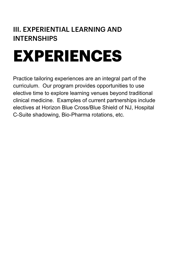### **III. EXPERIENTIAL LEARNING AND INTERNSHIPS**

# **EXPERIENCES**

Practice tailoring experiences are an integral part of the curriculum. Our program provides opportunities to use elective time to explore learning venues beyond traditional clinical medicine. Examples of current partnerships include electives at Horizon Blue Cross/Blue Shield of NJ, Hospital C-Suite shadowing, Bio-Pharma rotations, etc.